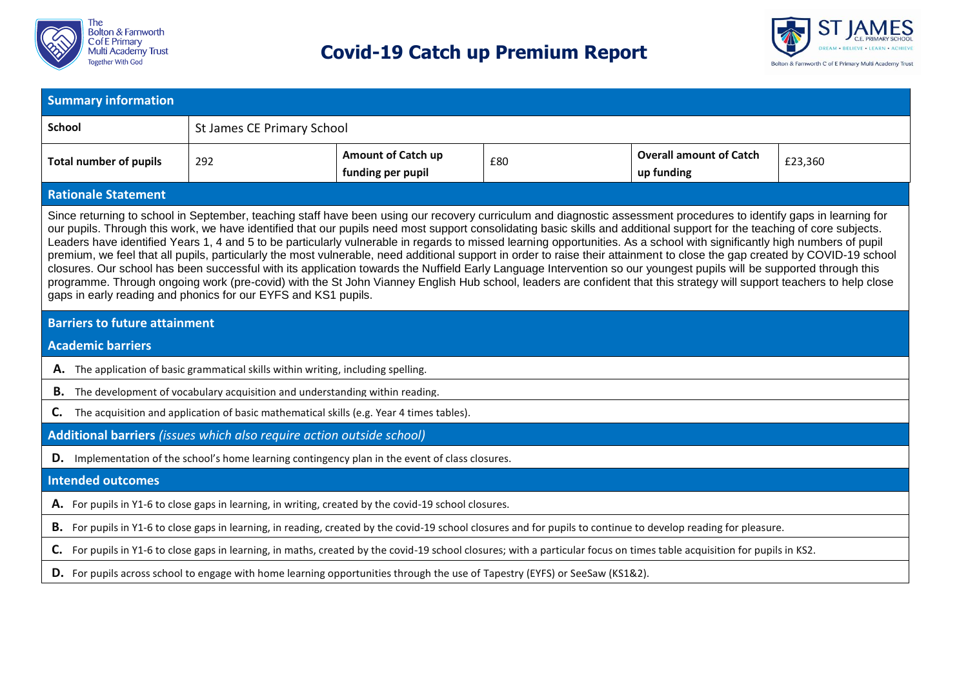



| <b>Summary information</b>                                                                                                                                                                                                                                                                                                                                                                                                                                                                                                                                                                                                                                                                                                                                                                                                                                                                                                                                                                                                                                                                                                    |                                                                                                                                                                  |                            |  |  |  |  |  |  |  |
|-------------------------------------------------------------------------------------------------------------------------------------------------------------------------------------------------------------------------------------------------------------------------------------------------------------------------------------------------------------------------------------------------------------------------------------------------------------------------------------------------------------------------------------------------------------------------------------------------------------------------------------------------------------------------------------------------------------------------------------------------------------------------------------------------------------------------------------------------------------------------------------------------------------------------------------------------------------------------------------------------------------------------------------------------------------------------------------------------------------------------------|------------------------------------------------------------------------------------------------------------------------------------------------------------------|----------------------------|--|--|--|--|--|--|--|
| <b>School</b>                                                                                                                                                                                                                                                                                                                                                                                                                                                                                                                                                                                                                                                                                                                                                                                                                                                                                                                                                                                                                                                                                                                 |                                                                                                                                                                  | St James CE Primary School |  |  |  |  |  |  |  |
| <b>Total number of pupils</b>                                                                                                                                                                                                                                                                                                                                                                                                                                                                                                                                                                                                                                                                                                                                                                                                                                                                                                                                                                                                                                                                                                 | <b>Amount of Catch up</b><br><b>Overall amount of Catch</b><br>292<br>£80<br>£23,360<br>funding per pupil<br>up funding                                          |                            |  |  |  |  |  |  |  |
| <b>Rationale Statement</b>                                                                                                                                                                                                                                                                                                                                                                                                                                                                                                                                                                                                                                                                                                                                                                                                                                                                                                                                                                                                                                                                                                    |                                                                                                                                                                  |                            |  |  |  |  |  |  |  |
| Since returning to school in September, teaching staff have been using our recovery curriculum and diagnostic assessment procedures to identify gaps in learning for<br>our pupils. Through this work, we have identified that our pupils need most support consolidating basic skills and additional support for the teaching of core subjects.<br>Leaders have identified Years 1, 4 and 5 to be particularly vulnerable in regards to missed learning opportunities. As a school with significantly high numbers of pupil<br>premium, we feel that all pupils, particularly the most vulnerable, need additional support in order to raise their attainment to close the gap created by COVID-19 school<br>closures. Our school has been successful with its application towards the Nuffield Early Language Intervention so our youngest pupils will be supported through this<br>programme. Through ongoing work (pre-covid) with the St John Vianney English Hub school, leaders are confident that this strategy will support teachers to help close<br>gaps in early reading and phonics for our EYFS and KS1 pupils. |                                                                                                                                                                  |                            |  |  |  |  |  |  |  |
| <b>Barriers to future attainment</b>                                                                                                                                                                                                                                                                                                                                                                                                                                                                                                                                                                                                                                                                                                                                                                                                                                                                                                                                                                                                                                                                                          |                                                                                                                                                                  |                            |  |  |  |  |  |  |  |
| <b>Academic barriers</b>                                                                                                                                                                                                                                                                                                                                                                                                                                                                                                                                                                                                                                                                                                                                                                                                                                                                                                                                                                                                                                                                                                      |                                                                                                                                                                  |                            |  |  |  |  |  |  |  |
| A. The application of basic grammatical skills within writing, including spelling.                                                                                                                                                                                                                                                                                                                                                                                                                                                                                                                                                                                                                                                                                                                                                                                                                                                                                                                                                                                                                                            |                                                                                                                                                                  |                            |  |  |  |  |  |  |  |
|                                                                                                                                                                                                                                                                                                                                                                                                                                                                                                                                                                                                                                                                                                                                                                                                                                                                                                                                                                                                                                                                                                                               | <b>B.</b> The development of vocabulary acquisition and understanding within reading.                                                                            |                            |  |  |  |  |  |  |  |
| C.                                                                                                                                                                                                                                                                                                                                                                                                                                                                                                                                                                                                                                                                                                                                                                                                                                                                                                                                                                                                                                                                                                                            | The acquisition and application of basic mathematical skills (e.g. Year 4 times tables).                                                                         |                            |  |  |  |  |  |  |  |
|                                                                                                                                                                                                                                                                                                                                                                                                                                                                                                                                                                                                                                                                                                                                                                                                                                                                                                                                                                                                                                                                                                                               | Additional barriers (issues which also require action outside school)                                                                                            |                            |  |  |  |  |  |  |  |
| D.                                                                                                                                                                                                                                                                                                                                                                                                                                                                                                                                                                                                                                                                                                                                                                                                                                                                                                                                                                                                                                                                                                                            | Implementation of the school's home learning contingency plan in the event of class closures.                                                                    |                            |  |  |  |  |  |  |  |
| <b>Intended outcomes</b>                                                                                                                                                                                                                                                                                                                                                                                                                                                                                                                                                                                                                                                                                                                                                                                                                                                                                                                                                                                                                                                                                                      |                                                                                                                                                                  |                            |  |  |  |  |  |  |  |
| A. For pupils in Y1-6 to close gaps in learning, in writing, created by the covid-19 school closures.                                                                                                                                                                                                                                                                                                                                                                                                                                                                                                                                                                                                                                                                                                                                                                                                                                                                                                                                                                                                                         |                                                                                                                                                                  |                            |  |  |  |  |  |  |  |
|                                                                                                                                                                                                                                                                                                                                                                                                                                                                                                                                                                                                                                                                                                                                                                                                                                                                                                                                                                                                                                                                                                                               | B. For pupils in Y1-6 to close gaps in learning, in reading, created by the covid-19 school closures and for pupils to continue to develop reading for pleasure. |                            |  |  |  |  |  |  |  |
| For pupils in Y1-6 to close gaps in learning, in maths, created by the covid-19 school closures; with a particular focus on times table acquisition for pupils in KS2.<br>C.                                                                                                                                                                                                                                                                                                                                                                                                                                                                                                                                                                                                                                                                                                                                                                                                                                                                                                                                                  |                                                                                                                                                                  |                            |  |  |  |  |  |  |  |
| D. For pupils across school to engage with home learning opportunities through the use of Tapestry (EYFS) or SeeSaw (KS1&2).                                                                                                                                                                                                                                                                                                                                                                                                                                                                                                                                                                                                                                                                                                                                                                                                                                                                                                                                                                                                  |                                                                                                                                                                  |                            |  |  |  |  |  |  |  |
|                                                                                                                                                                                                                                                                                                                                                                                                                                                                                                                                                                                                                                                                                                                                                                                                                                                                                                                                                                                                                                                                                                                               |                                                                                                                                                                  |                            |  |  |  |  |  |  |  |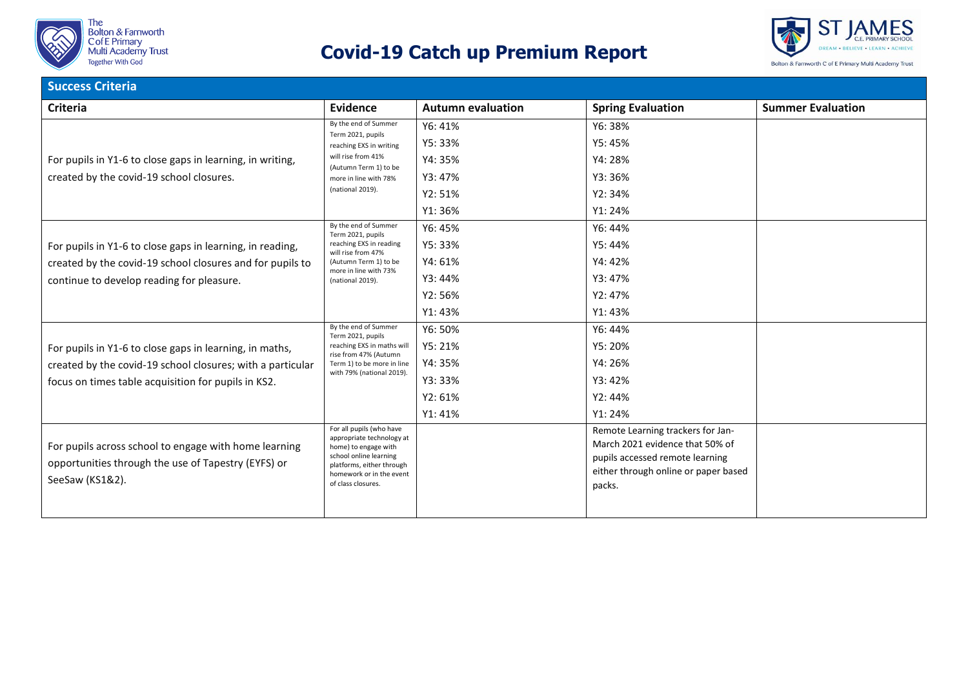



| <b>Success Criteria</b>                                                                                                         |                                                                                                                                                                                        |                          |                                                                                                                                                           |                          |  |  |  |
|---------------------------------------------------------------------------------------------------------------------------------|----------------------------------------------------------------------------------------------------------------------------------------------------------------------------------------|--------------------------|-----------------------------------------------------------------------------------------------------------------------------------------------------------|--------------------------|--|--|--|
| <b>Criteria</b>                                                                                                                 | <b>Evidence</b>                                                                                                                                                                        | <b>Autumn evaluation</b> | <b>Spring Evaluation</b>                                                                                                                                  | <b>Summer Evaluation</b> |  |  |  |
|                                                                                                                                 | By the end of Summer<br>Term 2021, pupils<br>reaching EXS in writing<br>will rise from 41%<br>(Autumn Term 1) to be<br>more in line with 78%<br>(national 2019).                       | Y6: 41%                  | Y6: 38%                                                                                                                                                   |                          |  |  |  |
|                                                                                                                                 |                                                                                                                                                                                        | Y5: 33%                  | Y5: 45%                                                                                                                                                   |                          |  |  |  |
| For pupils in Y1-6 to close gaps in learning, in writing,                                                                       |                                                                                                                                                                                        | Y4: 35%                  | Y4: 28%                                                                                                                                                   |                          |  |  |  |
| created by the covid-19 school closures.                                                                                        |                                                                                                                                                                                        | Y3: 47%                  | Y3: 36%                                                                                                                                                   |                          |  |  |  |
|                                                                                                                                 |                                                                                                                                                                                        | Y2: 51%                  | Y2:34%                                                                                                                                                    |                          |  |  |  |
|                                                                                                                                 |                                                                                                                                                                                        | Y1:36%                   | Y1: 24%                                                                                                                                                   |                          |  |  |  |
|                                                                                                                                 | By the end of Summer<br>Term 2021, pupils                                                                                                                                              | Y6: 45%                  | Y6: 44%                                                                                                                                                   |                          |  |  |  |
| For pupils in Y1-6 to close gaps in learning, in reading,                                                                       | reaching EXS in reading<br>will rise from 47%<br>(Autumn Term 1) to be<br>more in line with 73%<br>(national 2019).                                                                    | Y5:33%                   | Y5: 44%                                                                                                                                                   |                          |  |  |  |
| created by the covid-19 school closures and for pupils to                                                                       |                                                                                                                                                                                        | Y4: 61%                  | Y4: 42%                                                                                                                                                   |                          |  |  |  |
| continue to develop reading for pleasure.                                                                                       |                                                                                                                                                                                        | Y3: 44%                  | Y3: 47%                                                                                                                                                   |                          |  |  |  |
|                                                                                                                                 |                                                                                                                                                                                        | Y2: 56%                  | Y2: 47%                                                                                                                                                   |                          |  |  |  |
|                                                                                                                                 |                                                                                                                                                                                        | Y1: 43%                  | Y1: 43%                                                                                                                                                   |                          |  |  |  |
|                                                                                                                                 | By the end of Summer<br>Term 2021, pupils<br>reaching EXS in maths will<br>rise from 47% (Autumn<br>Term 1) to be more in line<br>with 79% (national 2019).                            | Y6: 50%                  | Y6: 44%                                                                                                                                                   |                          |  |  |  |
| For pupils in Y1-6 to close gaps in learning, in maths,                                                                         |                                                                                                                                                                                        | Y5: 21%                  | Y5: 20%                                                                                                                                                   |                          |  |  |  |
| created by the covid-19 school closures; with a particular                                                                      |                                                                                                                                                                                        | Y4: 35%                  | Y4: 26%                                                                                                                                                   |                          |  |  |  |
| focus on times table acquisition for pupils in KS2.                                                                             |                                                                                                                                                                                        | Y3: 33%                  | Y3: 42%                                                                                                                                                   |                          |  |  |  |
|                                                                                                                                 |                                                                                                                                                                                        | Y2:61%                   | Y2: 44%                                                                                                                                                   |                          |  |  |  |
|                                                                                                                                 |                                                                                                                                                                                        | Y1: 41%                  | Y1: 24%                                                                                                                                                   |                          |  |  |  |
| For pupils across school to engage with home learning<br>opportunities through the use of Tapestry (EYFS) or<br>SeeSaw (KS1&2). | For all pupils (who have<br>appropriate technology at<br>home) to engage with<br>school online learning<br>platforms, either through<br>homework or in the event<br>of class closures. |                          | Remote Learning trackers for Jan-<br>March 2021 evidence that 50% of<br>pupils accessed remote learning<br>either through online or paper based<br>packs. |                          |  |  |  |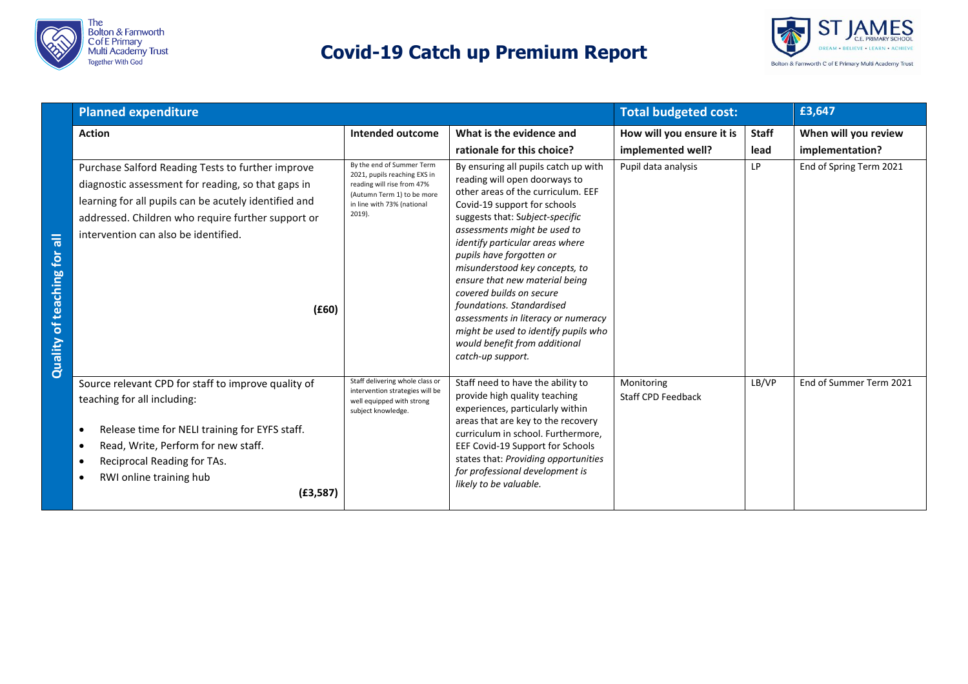



|                                     | <b>Planned expenditure</b>                                                                                                                                                                                                                                              |                                                                                                                                                               |                                                                                                                                                                                                                                                                                                                                                                                                                                                                                                                                                 | <b>Total budgeted cost:</b>                    |                      | £3,647                                  |
|-------------------------------------|-------------------------------------------------------------------------------------------------------------------------------------------------------------------------------------------------------------------------------------------------------------------------|---------------------------------------------------------------------------------------------------------------------------------------------------------------|-------------------------------------------------------------------------------------------------------------------------------------------------------------------------------------------------------------------------------------------------------------------------------------------------------------------------------------------------------------------------------------------------------------------------------------------------------------------------------------------------------------------------------------------------|------------------------------------------------|----------------------|-----------------------------------------|
|                                     | <b>Action</b>                                                                                                                                                                                                                                                           | Intended outcome                                                                                                                                              | What is the evidence and<br>rationale for this choice?                                                                                                                                                                                                                                                                                                                                                                                                                                                                                          | How will you ensure it is<br>implemented well? | <b>Staff</b><br>lead | When will you review<br>implementation? |
| 局<br><b>Quality of teaching for</b> | Purchase Salford Reading Tests to further improve<br>diagnostic assessment for reading, so that gaps in<br>learning for all pupils can be acutely identified and<br>addressed. Children who require further support or<br>intervention can also be identified.<br>(£60) | By the end of Summer Term<br>2021, pupils reaching EXS in<br>reading will rise from 47%<br>(Autumn Term 1) to be more<br>in line with 73% (national<br>2019). | By ensuring all pupils catch up with<br>reading will open doorways to<br>other areas of the curriculum. EEF<br>Covid-19 support for schools<br>suggests that: Subject-specific<br>assessments might be used to<br>identify particular areas where<br>pupils have forgotten or<br>misunderstood key concepts, to<br>ensure that new material being<br>covered builds on secure<br>foundations. Standardised<br>assessments in literacy or numeracy<br>might be used to identify pupils who<br>would benefit from additional<br>catch-up support. | Pupil data analysis                            | LP                   | End of Spring Term 2021                 |
|                                     | Source relevant CPD for staff to improve quality of<br>teaching for all including:<br>Release time for NELI training for EYFS staff.<br>٠<br>Read, Write, Perform for new staff.<br>Reciprocal Reading for TAs.<br>RWI online training hub<br>(E3, 587)                 | Staff delivering whole class or<br>intervention strategies will be<br>well equipped with strong<br>subject knowledge.                                         | Staff need to have the ability to<br>provide high quality teaching<br>experiences, particularly within<br>areas that are key to the recovery<br>curriculum in school. Furthermore,<br>EEF Covid-19 Support for Schools<br>states that: Providing opportunities<br>for professional development is<br>likely to be valuable.                                                                                                                                                                                                                     | Monitoring<br><b>Staff CPD Feedback</b>        | LB/VP                | End of Summer Term 2021                 |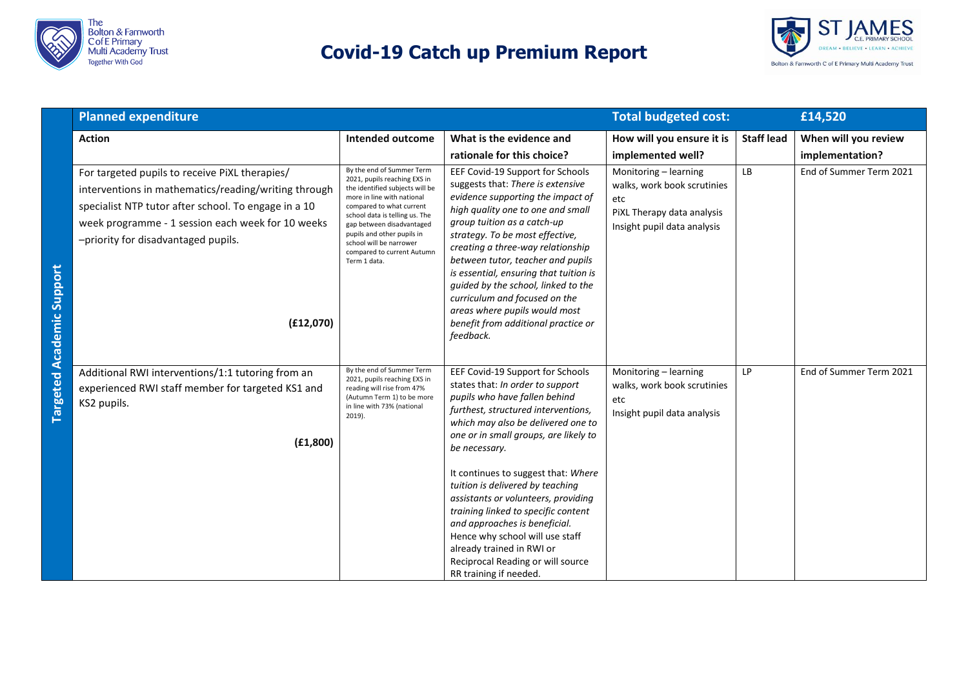



|                                  | <b>Planned expenditure</b>                                                                                                                                                                                                                                              |                                                                                                                                                                                                                                                                                                                              |                                                                                                                                                                                                                                                                                                                                                                                                                                                                                                                                                                       | <b>Total budgeted cost:</b>                                                                                              |                   | £14,520                 |
|----------------------------------|-------------------------------------------------------------------------------------------------------------------------------------------------------------------------------------------------------------------------------------------------------------------------|------------------------------------------------------------------------------------------------------------------------------------------------------------------------------------------------------------------------------------------------------------------------------------------------------------------------------|-----------------------------------------------------------------------------------------------------------------------------------------------------------------------------------------------------------------------------------------------------------------------------------------------------------------------------------------------------------------------------------------------------------------------------------------------------------------------------------------------------------------------------------------------------------------------|--------------------------------------------------------------------------------------------------------------------------|-------------------|-------------------------|
|                                  | <b>Action</b>                                                                                                                                                                                                                                                           | <b>Intended outcome</b>                                                                                                                                                                                                                                                                                                      | What is the evidence and                                                                                                                                                                                                                                                                                                                                                                                                                                                                                                                                              | How will you ensure it is                                                                                                | <b>Staff lead</b> | When will you review    |
|                                  |                                                                                                                                                                                                                                                                         |                                                                                                                                                                                                                                                                                                                              | rationale for this choice?                                                                                                                                                                                                                                                                                                                                                                                                                                                                                                                                            | implemented well?                                                                                                        |                   | implementation?         |
| <b>Targeted Academic Support</b> | For targeted pupils to receive PiXL therapies/<br>interventions in mathematics/reading/writing through<br>specialist NTP tutor after school. To engage in a 10<br>week programme - 1 session each week for 10 weeks<br>-priority for disadvantaged pupils.<br>(E12,070) | By the end of Summer Term<br>2021, pupils reaching EXS in<br>the identified subjects will be<br>more in line with national<br>compared to what current<br>school data is telling us. The<br>gap between disadvantaged<br>pupils and other pupils in<br>school will be narrower<br>compared to current Autumn<br>Term 1 data. | EEF Covid-19 Support for Schools<br>suggests that: There is extensive<br>evidence supporting the impact of<br>high quality one to one and small<br>group tuition as a catch-up<br>strategy. To be most effective,<br>creating a three-way relationship<br>between tutor, teacher and pupils<br>is essential, ensuring that tuition is<br>guided by the school, linked to the<br>curriculum and focused on the<br>areas where pupils would most<br>benefit from additional practice or<br>feedback.                                                                    | Monitoring - learning<br>walks, work book scrutinies<br>etc<br>PiXL Therapy data analysis<br>Insight pupil data analysis | LB                | End of Summer Term 2021 |
|                                  | Additional RWI interventions/1:1 tutoring from an<br>experienced RWI staff member for targeted KS1 and<br>KS2 pupils.<br>(E1, 800)                                                                                                                                      | By the end of Summer Term<br>2021, pupils reaching EXS in<br>reading will rise from 47%<br>(Autumn Term 1) to be more<br>in line with 73% (national<br>2019).                                                                                                                                                                | EEF Covid-19 Support for Schools<br>states that: In order to support<br>pupils who have fallen behind<br>furthest, structured interventions,<br>which may also be delivered one to<br>one or in small groups, are likely to<br>be necessary.<br>It continues to suggest that: Where<br>tuition is delivered by teaching<br>assistants or volunteers, providing<br>training linked to specific content<br>and approaches is beneficial.<br>Hence why school will use staff<br>already trained in RWI or<br>Reciprocal Reading or will source<br>RR training if needed. | Monitoring - learning<br>walks, work book scrutinies<br>etc<br>Insight pupil data analysis                               | LP                | End of Summer Term 2021 |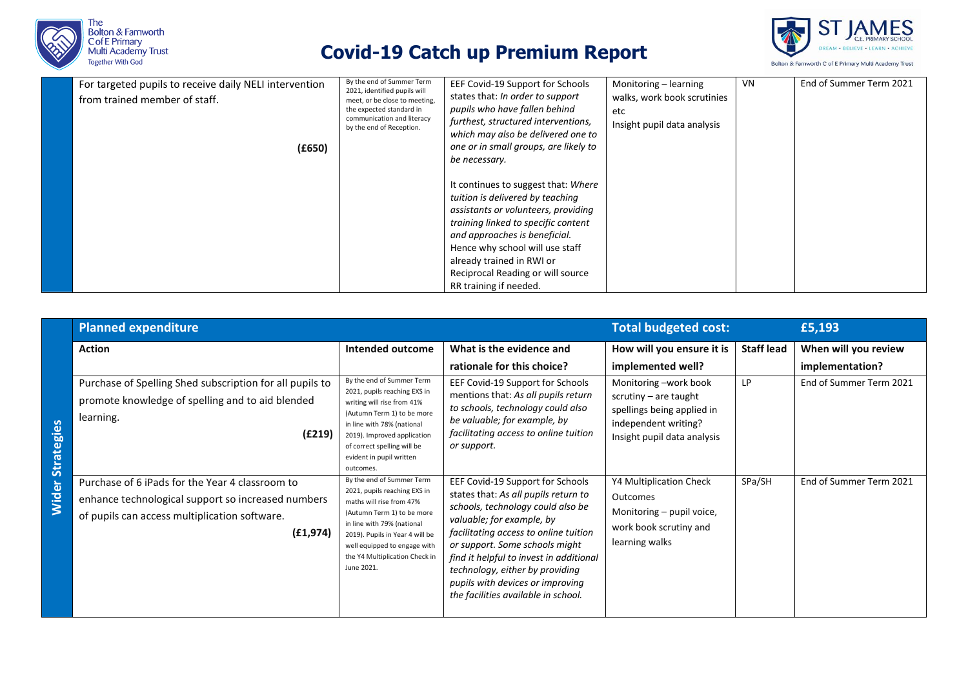



| For targeted pupils to receive daily NELI intervention<br>from trained member of staff. | By the end of Summer Term<br>2021, identified pupils will<br>meet, or be close to meeting,<br>the expected standard in<br>communication and literacy<br>by the end of Reception. | EEF Covid-19 Support for Schools<br>states that: In order to support<br>pupils who have fallen behind<br>furthest, structured interventions,<br>which may also be delivered one to                                                                                                                                                                                              | Monitoring – learning<br>walks, work book scrutinies<br>etc<br>Insight pupil data analysis | VN. | End of Summer Term 2021 |
|-----------------------------------------------------------------------------------------|----------------------------------------------------------------------------------------------------------------------------------------------------------------------------------|---------------------------------------------------------------------------------------------------------------------------------------------------------------------------------------------------------------------------------------------------------------------------------------------------------------------------------------------------------------------------------|--------------------------------------------------------------------------------------------|-----|-------------------------|
| (E650)                                                                                  |                                                                                                                                                                                  | one or in small groups, are likely to<br>be necessary.<br>It continues to suggest that: Where<br>tuition is delivered by teaching<br>assistants or volunteers, providing<br>training linked to specific content<br>and approaches is beneficial.<br>Hence why school will use staff<br>already trained in RWI or<br>Reciprocal Reading or will source<br>RR training if needed. |                                                                                            |     |                         |

|              | <b>Planned expenditure</b>                                                                                                                                          |                                                                                                                                                                                                                                                                      |                                                                                                                                                                                                                                                                                                                                                                                | <b>Total budgeted cost:</b>                                                                                                           |                   | £5,193                                  |
|--------------|---------------------------------------------------------------------------------------------------------------------------------------------------------------------|----------------------------------------------------------------------------------------------------------------------------------------------------------------------------------------------------------------------------------------------------------------------|--------------------------------------------------------------------------------------------------------------------------------------------------------------------------------------------------------------------------------------------------------------------------------------------------------------------------------------------------------------------------------|---------------------------------------------------------------------------------------------------------------------------------------|-------------------|-----------------------------------------|
|              | <b>Action</b>                                                                                                                                                       | Intended outcome                                                                                                                                                                                                                                                     | What is the evidence and<br>rationale for this choice?                                                                                                                                                                                                                                                                                                                         | How will you ensure it is<br>implemented well?                                                                                        | <b>Staff lead</b> | When will you review<br>implementation? |
| Strategies   | Purchase of Spelling Shed subscription for all pupils to<br>promote knowledge of spelling and to aid blended<br>learning.<br>(E219)                                 | By the end of Summer Term<br>2021, pupils reaching EXS in<br>writing will rise from 41%<br>(Autumn Term 1) to be more<br>in line with 78% (national<br>2019). Improved application<br>of correct spelling will be<br>evident in pupil written<br>outcomes.           | EEF Covid-19 Support for Schools<br>mentions that: As all pupils return<br>to schools, technology could also<br>be valuable; for example, by<br>facilitating access to online tuition<br>or support.                                                                                                                                                                           | Monitoring -work book<br>scrutiny $-$ are taught<br>spellings being applied in<br>independent writing?<br>Insight pupil data analysis | LP                | End of Summer Term 2021                 |
| <b>Wider</b> | Purchase of 6 iPads for the Year 4 classroom to<br>enhance technological support so increased numbers<br>of pupils can access multiplication software.<br>(E1, 974) | By the end of Summer Term<br>2021, pupils reaching EXS in<br>maths will rise from 47%<br>(Autumn Term 1) to be more<br>in line with 79% (national<br>2019). Pupils in Year 4 will be<br>well equipped to engage with<br>the Y4 Multiplication Check in<br>June 2021. | EEF Covid-19 Support for Schools<br>states that: As all pupils return to<br>schools, technology could also be<br>valuable; for example, by<br>facilitating access to online tuition<br>or support. Some schools might<br>find it helpful to invest in additional<br>technology, either by providing<br>pupils with devices or improving<br>the facilities available in school. | Y4 Multiplication Check<br>Outcomes<br>Monitoring – pupil voice,<br>work book scrutiny and<br>learning walks                          | SPa/SH            | End of Summer Term 2021                 |